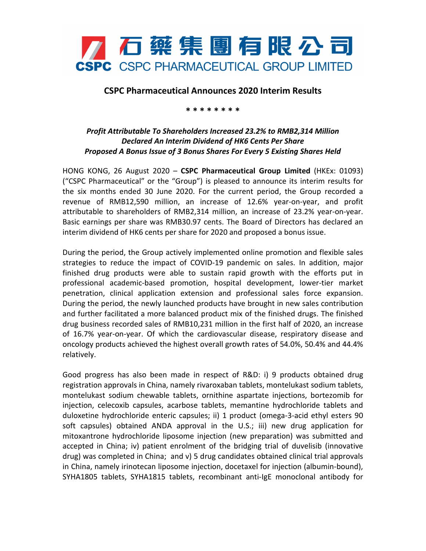

## **CSPC Pharmaceutical Announces 2020 Interim Results**

**\* \* \* \* \* \* \* \***

## *Profit Attributable To Shareholders Increased 23.2% to RMB2,314 Million Declared An Interim Dividend of HK6 Cents Per Share Proposed A Bonus Issue of 3 Bonus Shares For Every 5 Existing Shares Held*

HONG KONG, 26 August 2020 – **CSPC Pharmaceutical Group Limited** (HKEx: 01093) ("CSPC Pharmaceutical" or the "Group") is pleased to announce its interim results for the six months ended 30 June 2020. For the current period, the Group recorded a revenue of RMB12,590 million, an increase of 12.6% year-on-year, and profit attributable to shareholders of RMB2,314 million, an increase of 23.2% year-on-year. Basic earnings per share was RMB30.97 cents. The Board of Directors has declared an interim dividend of HK6 cents per share for 2020 and proposed a bonus issue.

During the period, the Group actively implemented online promotion and flexible sales strategies to reduce the impact of COVID-19 pandemic on sales. In addition, major finished drug products were able to sustain rapid growth with the efforts put in professional academic-based promotion, hospital development, lower-tier market penetration, clinical application extension and professional sales force expansion. During the period, the newly launched products have brought in new sales contribution and further facilitated a more balanced product mix of the finished drugs. The finished drug business recorded sales of RMB10,231 million in the first half of 2020, an increase of 16.7% year-on-year. Of which the cardiovascular disease, respiratory disease and oncology products achieved the highest overall growth rates of 54.0%, 50.4% and 44.4% relatively.

Good progress has also been made in respect of R&D: i) 9 products obtained drug registration approvals in China, namely rivaroxaban tablets, montelukast sodium tablets, montelukast sodium chewable tablets, ornithine aspartate injections, bortezomib for injection, celecoxib capsules, acarbose tablets, memantine hydrochloride tablets and duloxetine hydrochloride enteric capsules; ii) 1 product (omega-3-acid ethyl esters 90 soft capsules) obtained ANDA approval in the U.S.; iii) new drug application for mitoxantrone hydrochloride liposome injection (new preparation) was submitted and accepted in China; iv) patient enrolment of the bridging trial of duvelisib (innovative drug) was completed in China; and v) 5 drug candidates obtained clinical trial approvals in China, namely irinotecan liposome injection, docetaxel for injection (albumin-bound), SYHA1805 tablets, SYHA1815 tablets, recombinant anti-IgE monoclonal antibody for